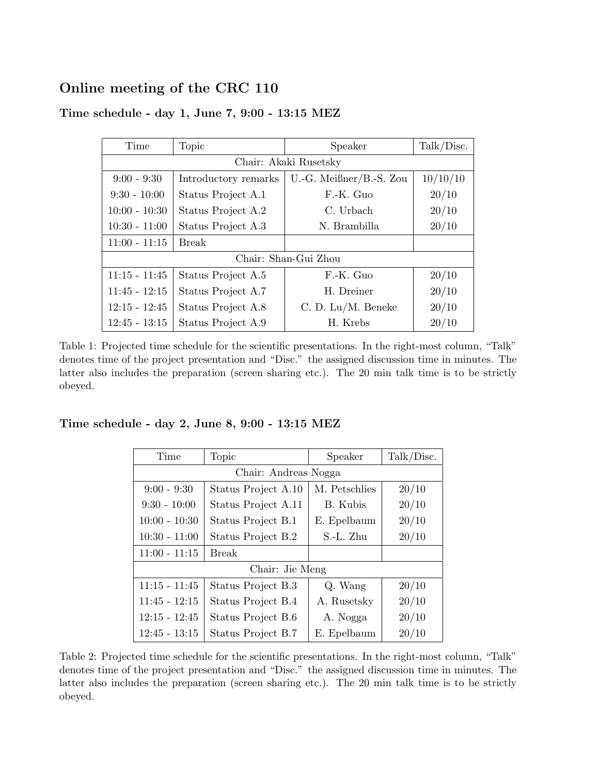## Online meeting of the CRC 110

| Time                  | Topic                | Speaker                 | Talk/Disc. |  |  |  |
|-----------------------|----------------------|-------------------------|------------|--|--|--|
| Chair: Akaki Rusetsky |                      |                         |            |  |  |  |
| $9:00 - 9:30$         | Introductory remarks | U.-G. Meißner/B.-S. Zou | 10/10/10   |  |  |  |
| $9:30 - 10:00$        | Status Project A.1   | F.-K. Guo               | 20/10      |  |  |  |
| $10:00 - 10:30$       | Status Project A.2   | C. Urbach               | 20/10      |  |  |  |
| $10:30 - 11:00$       | Status Project A.3   | N. Brambilla            | 20/10      |  |  |  |
| $11:00 - 11:15$       | Break                |                         |            |  |  |  |
| Chair: Shan-Gui Zhou  |                      |                         |            |  |  |  |
| $11:15 - 11:45$       | Status Project A.5   | F.-K. Guo               | 20/10      |  |  |  |
| $11:45 - 12:15$       | Status Project A.7   | H. Dreiner              | 20/10      |  |  |  |
| $12:15 - 12:45$       | Status Project A.8   | $C. D. Lu/M.$ Beneke    | 20/10      |  |  |  |
| $12:45 - 13:15$       | Status Project A.9   | H. Krebs                | 20/10      |  |  |  |

## Time schedule - day 1, June 7, 9:00 - 13:15 MEZ

Table 1: Projected time schedule for the scientific presentations. In the right-most column, "Talk" denotes time of the project presentation and "Disc." the assigned discussion time in minutes. The latter also includes the preparation (screen sharing etc.). The 20 min talk time is to be strictly obeyed.

## Time schedule - day 2, June 8, 9:00 - 13:15 MEZ

| Time                 | Topic               | Speaker       | Talk/Disc. |  |  |
|----------------------|---------------------|---------------|------------|--|--|
| Chair: Andreas Nogga |                     |               |            |  |  |
| $9:00 - 9:30$        | Status Project A.10 | M. Petschlies | 20/10      |  |  |
| $9:30 - 10:00$       | Status Project A.11 | B. Kubis      | 20/10      |  |  |
| $10:00 - 10:30$      | Status Project B.1  | E. Epelbaum   | 20/10      |  |  |
| $10:30 - 11:00$      | Status Project B.2  | S.-L. Zhu     | 20/10      |  |  |
| $11:00 - 11:15$      | <b>Break</b>        |               |            |  |  |
| Chair: Jie Meng      |                     |               |            |  |  |
| $11:15 - 11:45$      | Status Project B.3  | Q. Wang       | 20/10      |  |  |
| $11:45 - 12:15$      | Status Project B.4  | A. Rusetsky   | 20/10      |  |  |
| $12:15 - 12:45$      | Status Project B.6  | A. Nogga      | 20/10      |  |  |
| $12:45 - 13:15$      | Status Project B.7  | E. Epelbaum   | 20/10      |  |  |

Table 2: Projected time schedule for the scientific presentations. In the right-most column, "Talk" denotes time of the project presentation and "Disc." the assigned discussion time in minutes. The latter also includes the preparation (screen sharing etc.). The 20 min talk time is to be strictly obeyed.